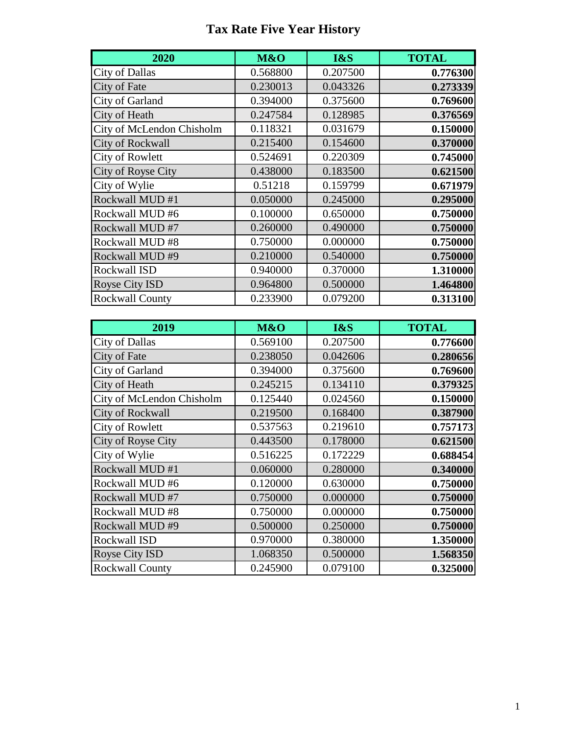## **Tax Rate Five Year History**

| 2020                      | M&O      | I&S      | <b>TOTAL</b> |
|---------------------------|----------|----------|--------------|
| <b>City of Dallas</b>     | 0.568800 | 0.207500 | 0.776300     |
| City of Fate              | 0.230013 | 0.043326 | 0.273339     |
| City of Garland           | 0.394000 | 0.375600 | 0.769600     |
| City of Heath             | 0.247584 | 0.128985 | 0.376569     |
| City of McLendon Chisholm | 0.118321 | 0.031679 | 0.150000     |
| <b>City of Rockwall</b>   | 0.215400 | 0.154600 | 0.370000     |
| <b>City of Rowlett</b>    | 0.524691 | 0.220309 | 0.745000     |
| City of Royse City        | 0.438000 | 0.183500 | 0.621500     |
| City of Wylie             | 0.51218  | 0.159799 | 0.671979     |
| Rockwall MUD #1           | 0.050000 | 0.245000 | 0.295000     |
| Rockwall MUD #6           | 0.100000 | 0.650000 | 0.750000     |
| Rockwall MUD #7           | 0.260000 | 0.490000 | 0.750000     |
| Rockwall MUD#8            | 0.750000 | 0.000000 | 0.750000     |
| Rockwall MUD #9           | 0.210000 | 0.540000 | 0.750000     |
| Rockwall ISD              | 0.940000 | 0.370000 | 1.310000     |
| <b>Royse City ISD</b>     | 0.964800 | 0.500000 | 1.464800     |
| <b>Rockwall County</b>    | 0.233900 | 0.079200 | 0.313100     |

| 2019                      | M&O      | I&S      | <b>TOTAL</b> |
|---------------------------|----------|----------|--------------|
| <b>City of Dallas</b>     | 0.569100 | 0.207500 | 0.776600     |
| City of Fate              | 0.238050 | 0.042606 | 0.280656     |
| City of Garland           | 0.394000 | 0.375600 | 0.769600     |
| City of Heath             | 0.245215 | 0.134110 | 0.379325     |
| City of McLendon Chisholm | 0.125440 | 0.024560 | 0.150000     |
| City of Rockwall          | 0.219500 | 0.168400 | 0.387900     |
| <b>City of Rowlett</b>    | 0.537563 | 0.219610 | 0.757173     |
| City of Royse City        | 0.443500 | 0.178000 | 0.621500     |
| City of Wylie             | 0.516225 | 0.172229 | 0.688454     |
| Rockwall MUD #1           | 0.060000 | 0.280000 | 0.340000     |
| Rockwall MUD #6           | 0.120000 | 0.630000 | 0.750000     |
| Rockwall MUD #7           | 0.750000 | 0.000000 | 0.750000     |
| Rockwall MUD #8           | 0.750000 | 0.000000 | 0.750000     |
| Rockwall MUD #9           | 0.500000 | 0.250000 | 0.750000     |
| Rockwall ISD              | 0.970000 | 0.380000 | 1.350000     |
| Royse City ISD            | 1.068350 | 0.500000 | 1.568350     |
| <b>Rockwall County</b>    | 0.245900 | 0.079100 | 0.325000     |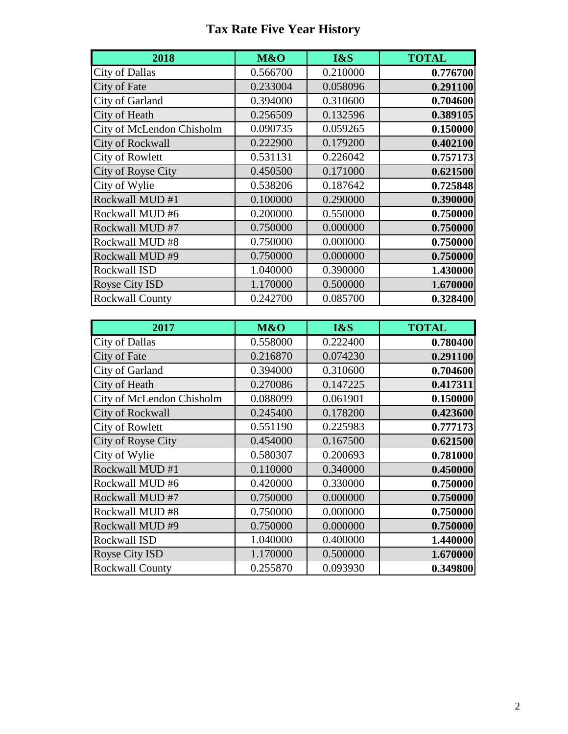## **Tax Rate Five Year History**

| 2018                      | M&O      | I&S      | <b>TOTAL</b> |
|---------------------------|----------|----------|--------------|
| <b>City of Dallas</b>     | 0.566700 | 0.210000 | 0.776700     |
| City of Fate              | 0.233004 | 0.058096 | 0.291100     |
| City of Garland           | 0.394000 | 0.310600 | 0.704600     |
| City of Heath             | 0.256509 | 0.132596 | 0.389105     |
| City of McLendon Chisholm | 0.090735 | 0.059265 | 0.150000     |
| <b>City of Rockwall</b>   | 0.222900 | 0.179200 | 0.402100     |
| <b>City of Rowlett</b>    | 0.531131 | 0.226042 | 0.757173     |
| City of Royse City        | 0.450500 | 0.171000 | 0.621500     |
| City of Wylie             | 0.538206 | 0.187642 | 0.725848     |
| Rockwall MUD #1           | 0.100000 | 0.290000 | 0.390000     |
| Rockwall MUD #6           | 0.200000 | 0.550000 | 0.750000     |
| Rockwall MUD #7           | 0.750000 | 0.000000 | 0.750000     |
| Rockwall MUD #8           | 0.750000 | 0.000000 | 0.750000     |
| Rockwall MUD #9           | 0.750000 | 0.000000 | 0.750000     |
| <b>Rockwall ISD</b>       | 1.040000 | 0.390000 | 1.430000     |
| Royse City ISD            | 1.170000 | 0.500000 | 1.670000     |
| <b>Rockwall County</b>    | 0.242700 | 0.085700 | 0.328400     |

| 2017                      | M&O      | I&S      | <b>TOTAL</b> |
|---------------------------|----------|----------|--------------|
| <b>City of Dallas</b>     | 0.558000 | 0.222400 | 0.780400     |
| City of Fate              | 0.216870 | 0.074230 | 0.291100     |
| City of Garland           | 0.394000 | 0.310600 | 0.704600     |
| City of Heath             | 0.270086 | 0.147225 | 0.417311     |
| City of McLendon Chisholm | 0.088099 | 0.061901 | 0.150000     |
| City of Rockwall          | 0.245400 | 0.178200 | 0.423600     |
| <b>City of Rowlett</b>    | 0.551190 | 0.225983 | 0.777173     |
| City of Royse City        | 0.454000 | 0.167500 | 0.621500     |
| City of Wylie             | 0.580307 | 0.200693 | 0.781000     |
| Rockwall MUD #1           | 0.110000 | 0.340000 | 0.450000     |
| Rockwall MUD #6           | 0.420000 | 0.330000 | 0.750000     |
| Rockwall MUD #7           | 0.750000 | 0.000000 | 0.750000     |
| Rockwall MUD #8           | 0.750000 | 0.000000 | 0.750000     |
| Rockwall MUD #9           | 0.750000 | 0.000000 | 0.750000     |
| Rockwall ISD              | 1.040000 | 0.400000 | 1.440000     |
| Royse City ISD            | 1.170000 | 0.500000 | 1.670000     |
| <b>Rockwall County</b>    | 0.255870 | 0.093930 | 0.349800     |